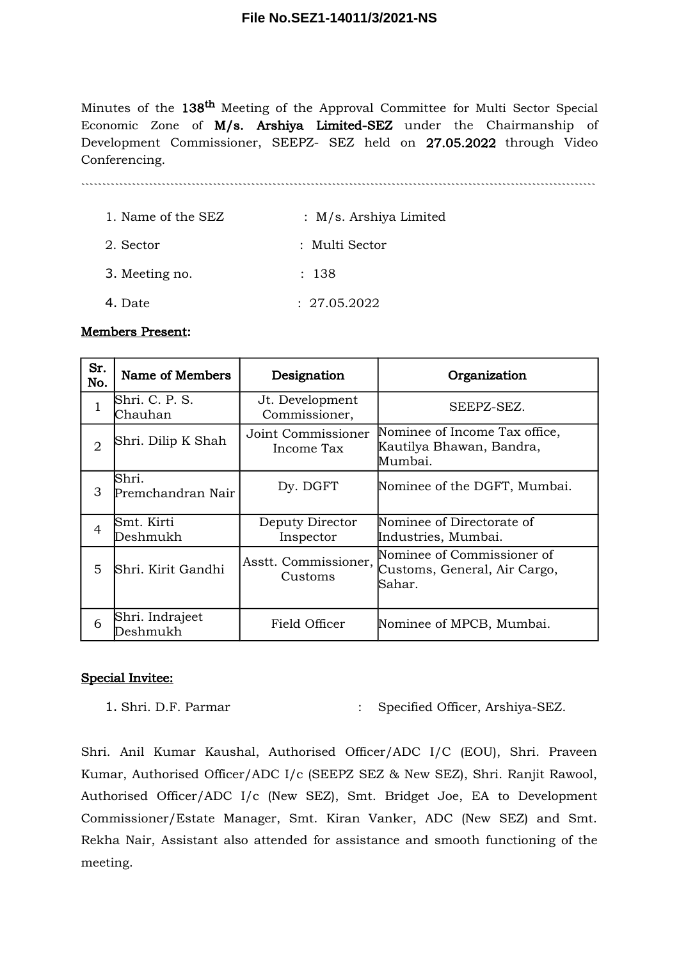Minutes of the 138<sup>th</sup> Meeting of the Approval Committee for Multi Sector Special Economic Zone of M/s. Arshiya Limited-SEZ under the Chairmanship of Development Commissioner, SEEPZ- SEZ held on 27.05.2022 through Video Conferencing.

`````````````````````````````````````````````````````````````````````````````````````````````````````````````````````````

- 1. Name of the SEZ : M/s. Arshiya Limited 2. Sector : Multi Sector
- 3. Meeting no. : 138
- 4. Date : 27.05.2022

### Members Present:

| Sr.<br>No.     | Name of Members             | Designation                      | Organization                                                         |
|----------------|-----------------------------|----------------------------------|----------------------------------------------------------------------|
|                | Shri. C. P. S.<br>Chauhan   | Jt. Development<br>Commissioner, | SEEPZ-SEZ.                                                           |
| 2              | Shri. Dilip K Shah          | Joint Commissioner<br>Income Tax | Nominee of Income Tax office,<br>Kautilya Bhawan, Bandra,<br>Mumbai. |
| 3              | Shri.<br>Premchandran Nair  | Dy. DGFT                         | Nominee of the DGFT, Mumbai.                                         |
| $\overline{4}$ | Smt. Kirti<br>Deshmukh      | Deputy Director<br>Inspector     | Nominee of Directorate of<br>Industries, Mumbai.                     |
| 5              | Shri. Kirit Gandhi          | Asstt. Commissioner,<br>Customs  | Nominee of Commissioner of<br>Customs, General, Air Cargo,<br>Sahar. |
| 6              | Shri. Indrajeet<br>Deshmukh | Field Officer                    | Nominee of MPCB, Mumbai.                                             |

## Special Invitee:

1. Shri. D.F. Parmar : Specified Officer, Arshiya-SEZ.

Shri. Anil Kumar Kaushal, Authorised Officer/ADC I/C (EOU), Shri. Praveen Kumar, Authorised Officer/ADC I/c (SEEPZ SEZ & New SEZ), Shri. Ranjit Rawool, Authorised Officer/ADC I/c (New SEZ), Smt. Bridget Joe, EA to Development Commissioner/Estate Manager, Smt. Kiran Vanker, ADC (New SEZ) and Smt. Rekha Nair, Assistant also attended for assistance and smooth functioning of the meeting.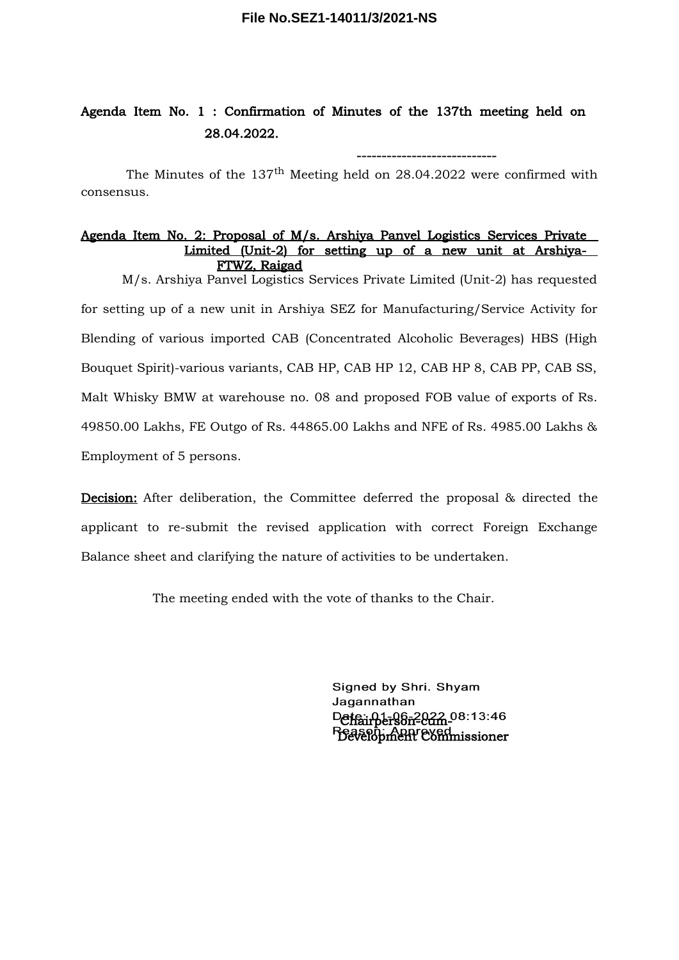#### **File No.SEZ1-14011/3/2021-NS**

# Agenda Item No. 1 : Confirmation of Minutes of the 137th meeting held on 28.04.2022.

The Minutes of the  $137<sup>th</sup>$  Meeting held on 28.04.2022 were confirmed with consensus.

----------------------------

#### Agenda Item No. 2: Proposal of M/s. Arshiya Panvel Logistics Services Private Limited (Unit-2) for setting up of a new unit at Arshiya- FTWZ, Raigad

M/s. Arshiya Panvel Logistics Services Private Limited (Unit-2) has requested for setting up of a new unit in Arshiya SEZ for Manufacturing/Service Activity for Blending of various imported CAB (Concentrated Alcoholic Beverages) HBS (High Bouquet Spirit)-various variants, CAB HP, CAB HP 12, CAB HP 8, CAB PP, CAB SS, Malt Whisky BMW at warehouse no. 08 and proposed FOB value of exports of Rs. 49850.00 Lakhs, FE Outgo of Rs. 44865.00 Lakhs and NFE of Rs. 4985.00 Lakhs & Employment of 5 persons.

Decision: After deliberation, the Committee deferred the proposal & directed the applicant to re-submit the revised application with correct Foreign Exchange Balance sheet and clarifying the nature of activities to be undertaken.

The meeting ended with the vote of thanks to the Chair.

Signed by Shri. Shyam Jagannathan Defairperson-2022.08:13:46 Reason: Appreyed<br>Development Commissioner